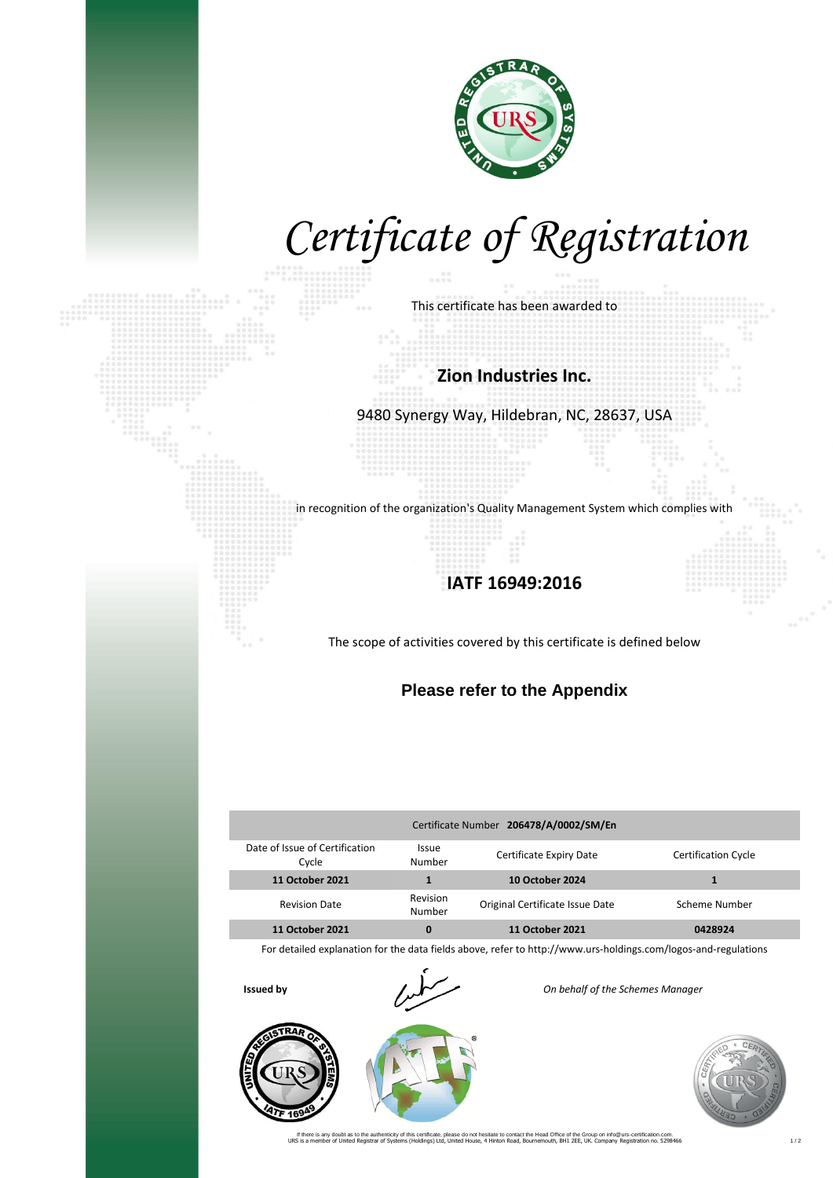

# *Certificate of Registration*

This certificate has been awarded to

#### **Zion Industries Inc.**

9480 Synergy Way, Hildebran, NC, 28637, USA

in recognition of the organization's Quality Management System which complies with

### **IATF 16949:2016**

The scope of activities covered by this certificate is defined below

### **Please refer to the Appendix**

| Certificate Number 206478/A/0002/SM/En  |                        |                                 |                            |  |  |  |
|-----------------------------------------|------------------------|---------------------------------|----------------------------|--|--|--|
| Date of Issue of Certification<br>Cycle | <b>Issue</b><br>Number | Certificate Expiry Date         | <b>Certification Cycle</b> |  |  |  |
| <b>11 October 2021</b>                  | 1                      | <b>10 October 2024</b>          |                            |  |  |  |
| <b>Revision Date</b>                    | Revision<br>Number     | Original Certificate Issue Date | Scheme Number              |  |  |  |
| 11 October 2021                         | 0                      | 11 October 2021                 | 0428924                    |  |  |  |

For detailed explanation for the data fields above, refer to http://www.urs-holdings.com/logos-and-regulations



**Issued by** *On behalf of the Schemes Manager*



If there is any doubt as to the authenticity of this certificate, please do not heriated to the Head Office of the Group on info@urs-certification.com.<br>URS is a member of United Registrar of Systems (Holdings) Ltd, United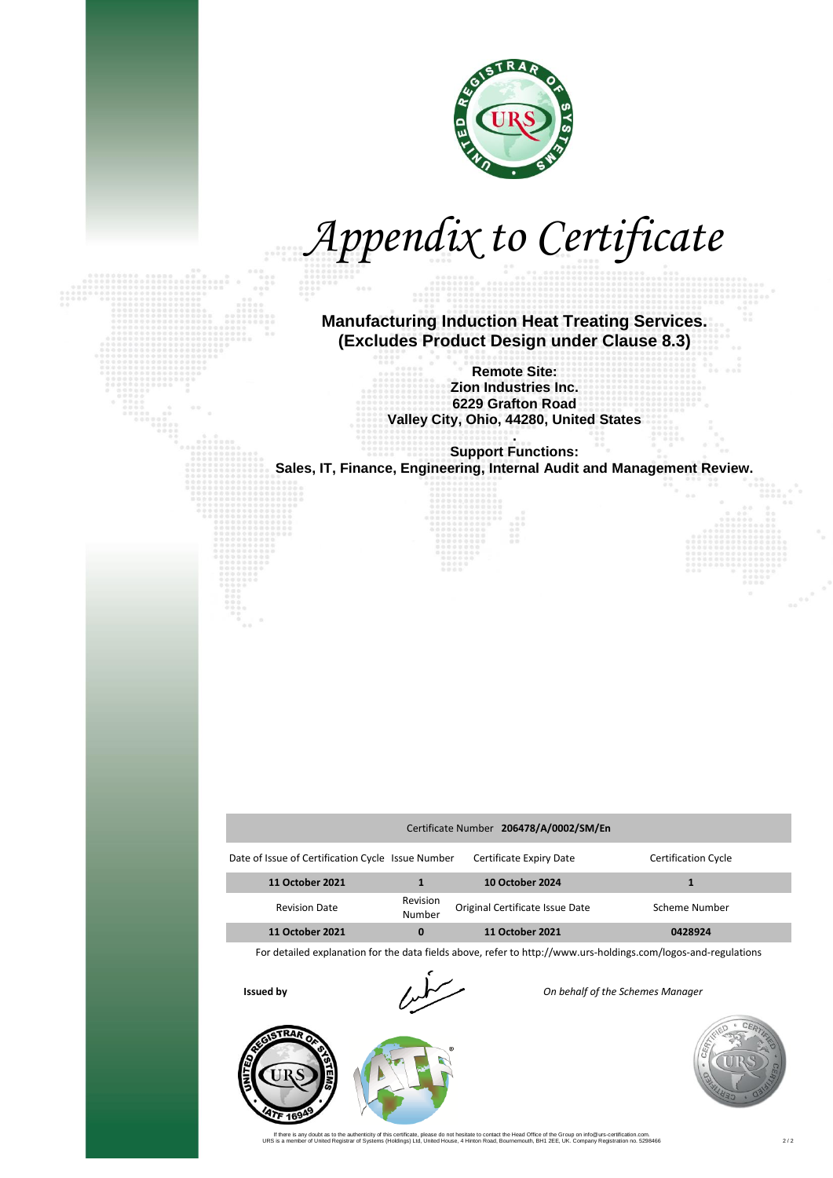

*Appendix to Certificate*

**Manufacturing Induction Heat Treating Services. (Excludes Product Design under Clause 8.3)** 

> **Remote Site: Zion Industries Inc. 6229 Grafton Road Valley City, Ohio, 44280, United States**

**. Support Functions: Sales, IT, Finance, Engineering, Internal Audit and Management Review.**

| Certificate Number 206478/A/0002/SM/En            |                    |                                 |                            |  |  |  |
|---------------------------------------------------|--------------------|---------------------------------|----------------------------|--|--|--|
| Date of Issue of Certification Cycle Issue Number |                    | Certificate Expiry Date         | <b>Certification Cycle</b> |  |  |  |
| 11 October 2021                                   |                    | <b>10 October 2024</b>          |                            |  |  |  |
| <b>Revision Date</b>                              | Revision<br>Number | Original Certificate Issue Date | Scheme Number              |  |  |  |
| 11 October 2021                                   |                    | <b>11 October 2021</b>          | 0428924                    |  |  |  |

For detailed explanation for the data fields above, refer to http://www.urs-holdings.com/logos-and-regulations



**Issued by** *I I I I On behalf of the Schemes Manager* 





If there is any doubt as to the authenticity of this certificate, please do not herstate to contact the Head Office of the Group on info@urs-cerification.com.<br>URS is a member of United Registrar of Systems (Holdings) Ltd,